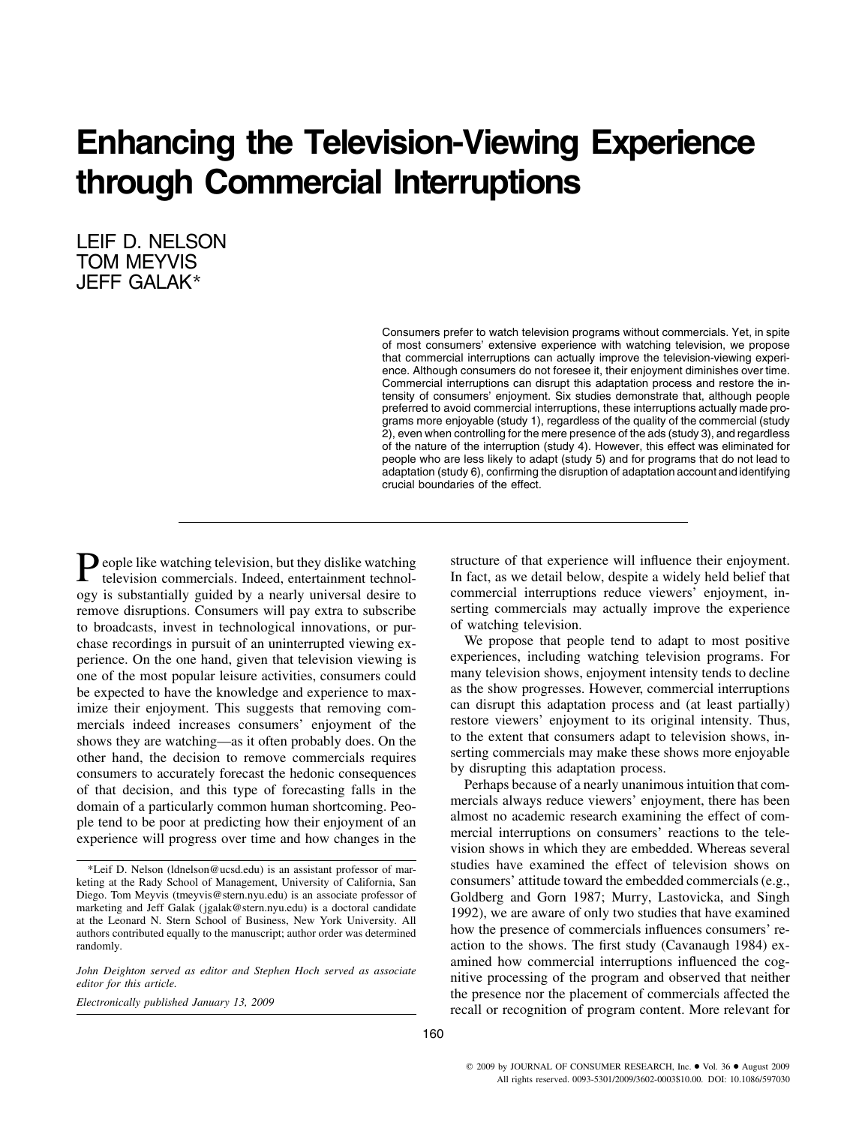# **Enhancing the Television-Viewing Experience through Commercial Interruptions**

LEIF D. NELSON TOM MEYVIS JEFF GALAK\*

> Consumers prefer to watch television programs without commercials. Yet, in spite of most consumers' extensive experience with watching television, we propose that commercial interruptions can actually improve the television-viewing experience. Although consumers do not foresee it, their enjoyment diminishes over time. Commercial interruptions can disrupt this adaptation process and restore the intensity of consumers' enjoyment. Six studies demonstrate that, although people preferred to avoid commercial interruptions, these interruptions actually made programs more enjoyable (study 1), regardless of the quality of the commercial (study 2), even when controlling for the mere presence of the ads (study 3), and regardless of the nature of the interruption (study 4). However, this effect was eliminated for people who are less likely to adapt (study 5) and for programs that do not lead to adaptation (study 6), confirming the disruption of adaptation account and identifying crucial boundaries of the effect.

People like watching television, but they dislike watching television commercials. Indeed, entertainment technology is substantially guided by a nearly universal desire to remove disruptions. Consumers will pay extra to subscribe to broadcasts, invest in technological innovations, or purchase recordings in pursuit of an uninterrupted viewing experience. On the one hand, given that television viewing is one of the most popular leisure activities, consumers could be expected to have the knowledge and experience to maximize their enjoyment. This suggests that removing commercials indeed increases consumers' enjoyment of the shows they are watching—as it often probably does. On the other hand, the decision to remove commercials requires consumers to accurately forecast the hedonic consequences of that decision, and this type of forecasting falls in the domain of a particularly common human shortcoming. People tend to be poor at predicting how their enjoyment of an experience will progress over time and how changes in the

*John Deighton served as editor and Stephen Hoch served as associate editor for this article.*

*Electronically published January 13, 2009*

structure of that experience will influence their enjoyment. In fact, as we detail below, despite a widely held belief that commercial interruptions reduce viewers' enjoyment, inserting commercials may actually improve the experience of watching television.

We propose that people tend to adapt to most positive experiences, including watching television programs. For many television shows, enjoyment intensity tends to decline as the show progresses. However, commercial interruptions can disrupt this adaptation process and (at least partially) restore viewers' enjoyment to its original intensity. Thus, to the extent that consumers adapt to television shows, inserting commercials may make these shows more enjoyable by disrupting this adaptation process.

Perhaps because of a nearly unanimous intuition that commercials always reduce viewers' enjoyment, there has been almost no academic research examining the effect of commercial interruptions on consumers' reactions to the television shows in which they are embedded. Whereas several studies have examined the effect of television shows on consumers' attitude toward the embedded commercials (e.g., Goldberg and Gorn 1987; Murry, Lastovicka, and Singh 1992), we are aware of only two studies that have examined how the presence of commercials influences consumers' reaction to the shows. The first study (Cavanaugh 1984) examined how commercial interruptions influenced the cognitive processing of the program and observed that neither the presence nor the placement of commercials affected the recall or recognition of program content. More relevant for

<sup>\*</sup>Leif D. Nelson (ldnelson@ucsd.edu) is an assistant professor of marketing at the Rady School of Management, University of California, San Diego. Tom Meyvis (tmeyvis@stern.nyu.edu) is an associate professor of marketing and Jeff Galak (jgalak@stern.nyu.edu) is a doctoral candidate at the Leonard N. Stern School of Business, New York University. All authors contributed equally to the manuscript; author order was determined randomly.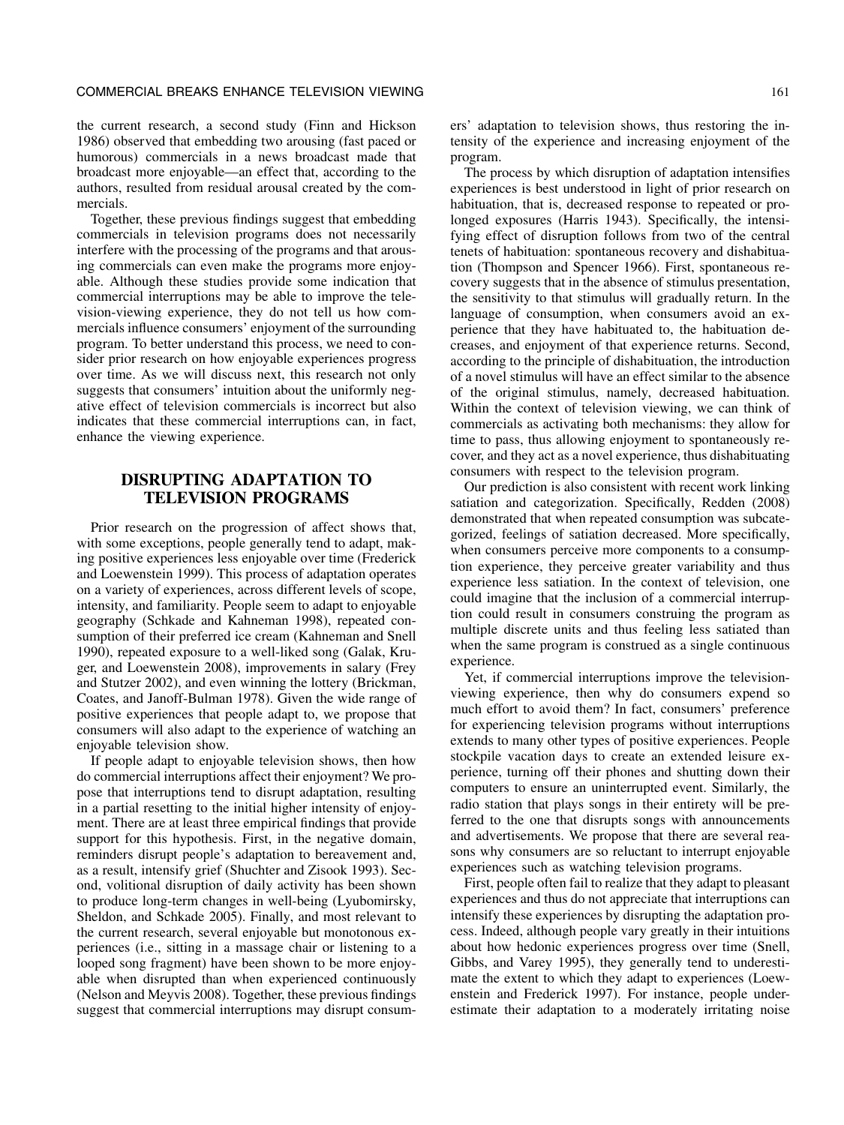the current research, a second study (Finn and Hickson 1986) observed that embedding two arousing (fast paced or humorous) commercials in a news broadcast made that broadcast more enjoyable—an effect that, according to the authors, resulted from residual arousal created by the commercials.

Together, these previous findings suggest that embedding commercials in television programs does not necessarily interfere with the processing of the programs and that arousing commercials can even make the programs more enjoyable. Although these studies provide some indication that commercial interruptions may be able to improve the television-viewing experience, they do not tell us how commercials influence consumers' enjoyment of the surrounding program. To better understand this process, we need to consider prior research on how enjoyable experiences progress over time. As we will discuss next, this research not only suggests that consumers' intuition about the uniformly negative effect of television commercials is incorrect but also indicates that these commercial interruptions can, in fact, enhance the viewing experience.

# **DISRUPTING ADAPTATION TO TELEVISION PROGRAMS**

Prior research on the progression of affect shows that, with some exceptions, people generally tend to adapt, making positive experiences less enjoyable over time (Frederick and Loewenstein 1999). This process of adaptation operates on a variety of experiences, across different levels of scope, intensity, and familiarity. People seem to adapt to enjoyable geography (Schkade and Kahneman 1998), repeated consumption of their preferred ice cream (Kahneman and Snell 1990), repeated exposure to a well-liked song (Galak, Kruger, and Loewenstein 2008), improvements in salary (Frey and Stutzer 2002), and even winning the lottery (Brickman, Coates, and Janoff-Bulman 1978). Given the wide range of positive experiences that people adapt to, we propose that consumers will also adapt to the experience of watching an enjoyable television show.

If people adapt to enjoyable television shows, then how do commercial interruptions affect their enjoyment? We propose that interruptions tend to disrupt adaptation, resulting in a partial resetting to the initial higher intensity of enjoyment. There are at least three empirical findings that provide support for this hypothesis. First, in the negative domain, reminders disrupt people's adaptation to bereavement and, as a result, intensify grief (Shuchter and Zisook 1993). Second, volitional disruption of daily activity has been shown to produce long-term changes in well-being (Lyubomirsky, Sheldon, and Schkade 2005). Finally, and most relevant to the current research, several enjoyable but monotonous experiences (i.e., sitting in a massage chair or listening to a looped song fragment) have been shown to be more enjoyable when disrupted than when experienced continuously (Nelson and Meyvis 2008). Together, these previous findings suggest that commercial interruptions may disrupt consumers' adaptation to television shows, thus restoring the intensity of the experience and increasing enjoyment of the program.

The process by which disruption of adaptation intensifies experiences is best understood in light of prior research on habituation, that is, decreased response to repeated or prolonged exposures (Harris 1943). Specifically, the intensifying effect of disruption follows from two of the central tenets of habituation: spontaneous recovery and dishabituation (Thompson and Spencer 1966). First, spontaneous recovery suggests that in the absence of stimulus presentation, the sensitivity to that stimulus will gradually return. In the language of consumption, when consumers avoid an experience that they have habituated to, the habituation decreases, and enjoyment of that experience returns. Second, according to the principle of dishabituation, the introduction of a novel stimulus will have an effect similar to the absence of the original stimulus, namely, decreased habituation. Within the context of television viewing, we can think of commercials as activating both mechanisms: they allow for time to pass, thus allowing enjoyment to spontaneously recover, and they act as a novel experience, thus dishabituating consumers with respect to the television program.

Our prediction is also consistent with recent work linking satiation and categorization. Specifically, Redden (2008) demonstrated that when repeated consumption was subcategorized, feelings of satiation decreased. More specifically, when consumers perceive more components to a consumption experience, they perceive greater variability and thus experience less satiation. In the context of television, one could imagine that the inclusion of a commercial interruption could result in consumers construing the program as multiple discrete units and thus feeling less satiated than when the same program is construed as a single continuous experience.

Yet, if commercial interruptions improve the televisionviewing experience, then why do consumers expend so much effort to avoid them? In fact, consumers' preference for experiencing television programs without interruptions extends to many other types of positive experiences. People stockpile vacation days to create an extended leisure experience, turning off their phones and shutting down their computers to ensure an uninterrupted event. Similarly, the radio station that plays songs in their entirety will be preferred to the one that disrupts songs with announcements and advertisements. We propose that there are several reasons why consumers are so reluctant to interrupt enjoyable experiences such as watching television programs.

First, people often fail to realize that they adapt to pleasant experiences and thus do not appreciate that interruptions can intensify these experiences by disrupting the adaptation process. Indeed, although people vary greatly in their intuitions about how hedonic experiences progress over time (Snell, Gibbs, and Varey 1995), they generally tend to underestimate the extent to which they adapt to experiences (Loewenstein and Frederick 1997). For instance, people underestimate their adaptation to a moderately irritating noise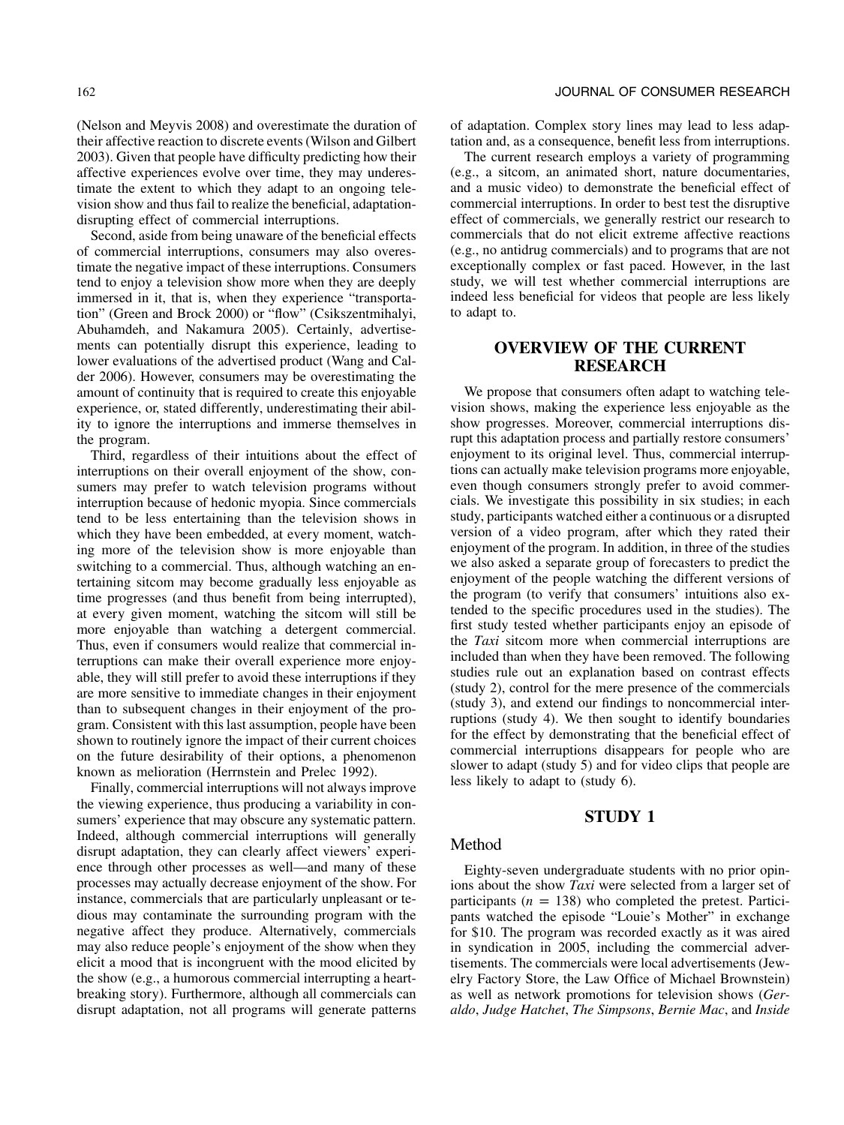(Nelson and Meyvis 2008) and overestimate the duration of their affective reaction to discrete events (Wilson and Gilbert 2003). Given that people have difficulty predicting how their affective experiences evolve over time, they may underestimate the extent to which they adapt to an ongoing television show and thus fail to realize the beneficial, adaptationdisrupting effect of commercial interruptions.

Second, aside from being unaware of the beneficial effects of commercial interruptions, consumers may also overestimate the negative impact of these interruptions. Consumers tend to enjoy a television show more when they are deeply immersed in it, that is, when they experience "transportation" (Green and Brock 2000) or "flow" (Csikszentmihalyi, Abuhamdeh, and Nakamura 2005). Certainly, advertisements can potentially disrupt this experience, leading to lower evaluations of the advertised product (Wang and Calder 2006). However, consumers may be overestimating the amount of continuity that is required to create this enjoyable experience, or, stated differently, underestimating their ability to ignore the interruptions and immerse themselves in the program.

Third, regardless of their intuitions about the effect of interruptions on their overall enjoyment of the show, consumers may prefer to watch television programs without interruption because of hedonic myopia. Since commercials tend to be less entertaining than the television shows in which they have been embedded, at every moment, watching more of the television show is more enjoyable than switching to a commercial. Thus, although watching an entertaining sitcom may become gradually less enjoyable as time progresses (and thus benefit from being interrupted), at every given moment, watching the sitcom will still be more enjoyable than watching a detergent commercial. Thus, even if consumers would realize that commercial interruptions can make their overall experience more enjoyable, they will still prefer to avoid these interruptions if they are more sensitive to immediate changes in their enjoyment than to subsequent changes in their enjoyment of the program. Consistent with this last assumption, people have been shown to routinely ignore the impact of their current choices on the future desirability of their options, a phenomenon known as melioration (Herrnstein and Prelec 1992).

Finally, commercial interruptions will not always improve the viewing experience, thus producing a variability in consumers' experience that may obscure any systematic pattern. Indeed, although commercial interruptions will generally disrupt adaptation, they can clearly affect viewers' experience through other processes as well—and many of these processes may actually decrease enjoyment of the show. For instance, commercials that are particularly unpleasant or tedious may contaminate the surrounding program with the negative affect they produce. Alternatively, commercials may also reduce people's enjoyment of the show when they elicit a mood that is incongruent with the mood elicited by the show (e.g., a humorous commercial interrupting a heartbreaking story). Furthermore, although all commercials can disrupt adaptation, not all programs will generate patterns of adaptation. Complex story lines may lead to less adaptation and, as a consequence, benefit less from interruptions.

The current research employs a variety of programming (e.g., a sitcom, an animated short, nature documentaries, and a music video) to demonstrate the beneficial effect of commercial interruptions. In order to best test the disruptive effect of commercials, we generally restrict our research to commercials that do not elicit extreme affective reactions (e.g., no antidrug commercials) and to programs that are not exceptionally complex or fast paced. However, in the last study, we will test whether commercial interruptions are indeed less beneficial for videos that people are less likely to adapt to.

# **OVERVIEW OF THE CURRENT RESEARCH**

We propose that consumers often adapt to watching television shows, making the experience less enjoyable as the show progresses. Moreover, commercial interruptions disrupt this adaptation process and partially restore consumers' enjoyment to its original level. Thus, commercial interruptions can actually make television programs more enjoyable, even though consumers strongly prefer to avoid commercials. We investigate this possibility in six studies; in each study, participants watched either a continuous or a disrupted version of a video program, after which they rated their enjoyment of the program. In addition, in three of the studies we also asked a separate group of forecasters to predict the enjoyment of the people watching the different versions of the program (to verify that consumers' intuitions also extended to the specific procedures used in the studies). The first study tested whether participants enjoy an episode of the *Taxi* sitcom more when commercial interruptions are included than when they have been removed. The following studies rule out an explanation based on contrast effects (study 2), control for the mere presence of the commercials (study 3), and extend our findings to noncommercial interruptions (study 4). We then sought to identify boundaries for the effect by demonstrating that the beneficial effect of commercial interruptions disappears for people who are slower to adapt (study 5) and for video clips that people are less likely to adapt to (study 6).

## **STUDY 1**

## Method

Eighty-seven undergraduate students with no prior opinions about the show *Taxi* were selected from a larger set of participants ( $n = 138$ ) who completed the pretest. Participants watched the episode "Louie's Mother" in exchange for \$10. The program was recorded exactly as it was aired in syndication in 2005, including the commercial advertisements. The commercials were local advertisements (Jewelry Factory Store, the Law Office of Michael Brownstein) as well as network promotions for television shows (*Geraldo*, *Judge Hatchet*, *The Simpsons*, *Bernie Mac*, and *Inside*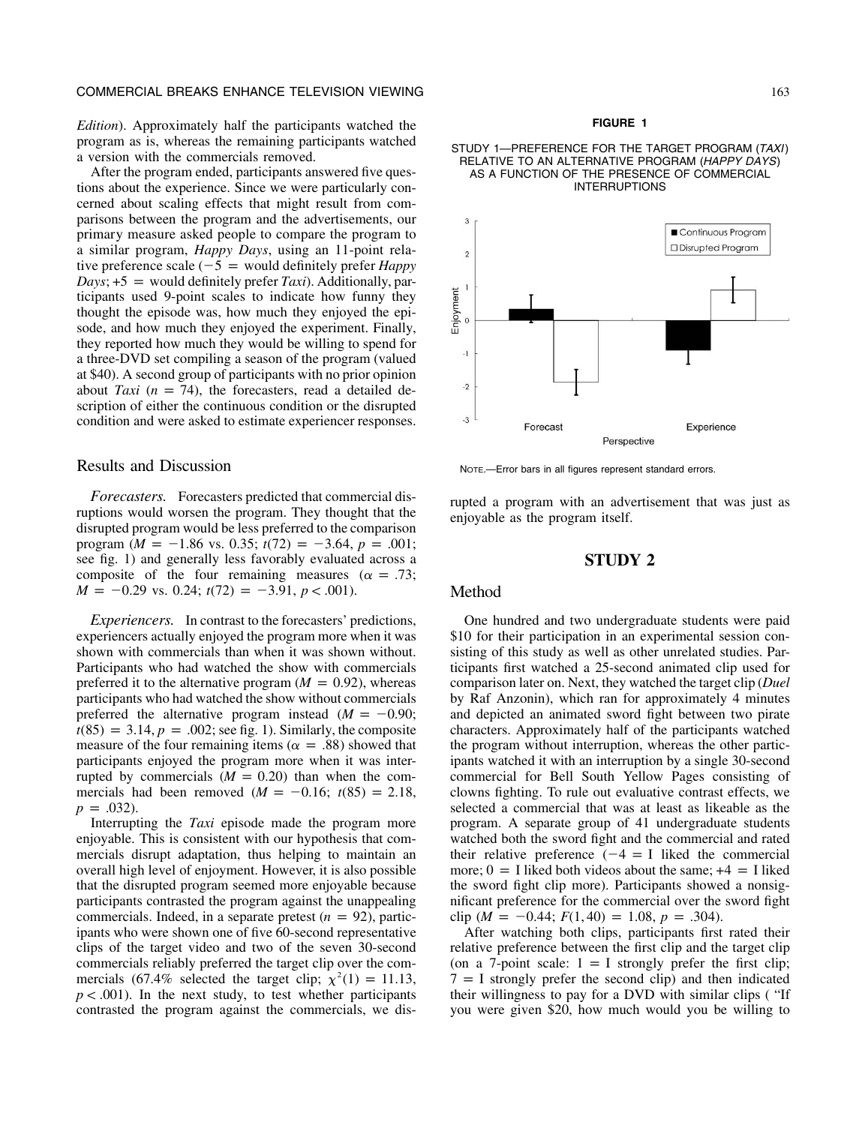*Edition*). Approximately half the participants watched the program as is, whereas the remaining participants watched a version with the commercials removed.

After the program ended, participants answered five questions about the experience. Since we were particularly concerned about scaling effects that might result from comparisons between the program and the advertisements, our primary measure asked people to compare the program to a similar program, *Happy Days*, using an 11-point relative preference scale  $(-5 =$  would definitely prefer *Happy*  $Days$ ; +5 = would definitely prefer *Taxi*). Additionally, participants used 9-point scales to indicate how funny they thought the episode was, how much they enjoyed the episode, and how much they enjoyed the experiment. Finally, they reported how much they would be willing to spend for a three-DVD set compiling a season of the program (valued at \$40). A second group of participants with no prior opinion about *Taxi*  $(n = 74)$ , the forecasters, read a detailed description of either the continuous condition or the disrupted condition and were asked to estimate experiencer responses.

## Results and Discussion

*Forecasters.* Forecasters predicted that commercial disruptions would worsen the program. They thought that the disrupted program would be less preferred to the comparison program ( $M = -1.86$  vs. 0.35;  $t(72) = -3.64$ ,  $p = .001$ ; see fig. 1) and generally less favorably evaluated across a composite of the four remaining measures ( $\alpha = .73$ ;  $M = -0.29$  vs. 0.24;  $t(72) = -3.91$ ,  $p < .001$ ).

*Experiencers.* In contrast to the forecasters' predictions, experiencers actually enjoyed the program more when it was shown with commercials than when it was shown without. Participants who had watched the show with commercials preferred it to the alternative program ( $M = 0.92$ ), whereas participants who had watched the show without commercials preferred the alternative program instead  $(M = -0.90;$  $t(85) = 3.14$ ,  $p = .002$ ; see fig. 1). Similarly, the composite measure of the four remaining items ( $\alpha = .88$ ) showed that participants enjoyed the program more when it was interrupted by commercials  $(M = 0.20)$  than when the commercials had been removed  $(M = -0.16; t(85) = 2.18,$  $p = .032$ ).

Interrupting the *Taxi* episode made the program more enjoyable. This is consistent with our hypothesis that commercials disrupt adaptation, thus helping to maintain an overall high level of enjoyment. However, it is also possible that the disrupted program seemed more enjoyable because participants contrasted the program against the unappealing commercials. Indeed, in a separate pretest  $(n = 92)$ , participants who were shown one of five 60-second representative clips of the target video and two of the seven 30-second commercials reliably preferred the target clip over the commercials (67.4% selected the target clip;  $\chi^2(1) = 11.13$ ,  $p < .001$ ). In the next study, to test whether participants contrasted the program against the commercials, we dis-

#### **FIGURE 1**

#### STUDY 1—PREFERENCE FOR THE TARGET PROGRAM (*TAXI*) RELATIVE TO AN ALTERNATIVE PROGRAM (*HAPPY DAYS*) AS A FUNCTION OF THE PRESENCE OF COMMERCIAL INTERRUPTIONS



NOTE.—Error bars in all figures represent standard errors.

rupted a program with an advertisement that was just as enjoyable as the program itself.

#### **STUDY 2**

## Method

One hundred and two undergraduate students were paid \$10 for their participation in an experimental session consisting of this study as well as other unrelated studies. Participants first watched a 25-second animated clip used for comparison later on. Next, they watched the target clip (*Duel* by Raf Anzonin), which ran for approximately 4 minutes and depicted an animated sword fight between two pirate characters. Approximately half of the participants watched the program without interruption, whereas the other participants watched it with an interruption by a single 30-second commercial for Bell South Yellow Pages consisting of clowns fighting. To rule out evaluative contrast effects, we selected a commercial that was at least as likeable as the program. A separate group of 41 undergraduate students watched both the sword fight and the commercial and rated their relative preference  $(-4 = I)$  liked the commercial more;  $0 = I$  liked both videos about the same;  $+4 = I$  liked the sword fight clip more). Participants showed a nonsignificant preference for the commercial over the sword fight clip ( $M = -0.44$ ;  $F(1, 40) = 1.08$ ,  $p = .304$ ).

After watching both clips, participants first rated their relative preference between the first clip and the target clip (on a 7-point scale:  $1 = I$  strongly prefer the first clip;  $7 = I$  strongly prefer the second clip) and then indicated their willingness to pay for a DVD with similar clips ( "If you were given \$20, how much would you be willing to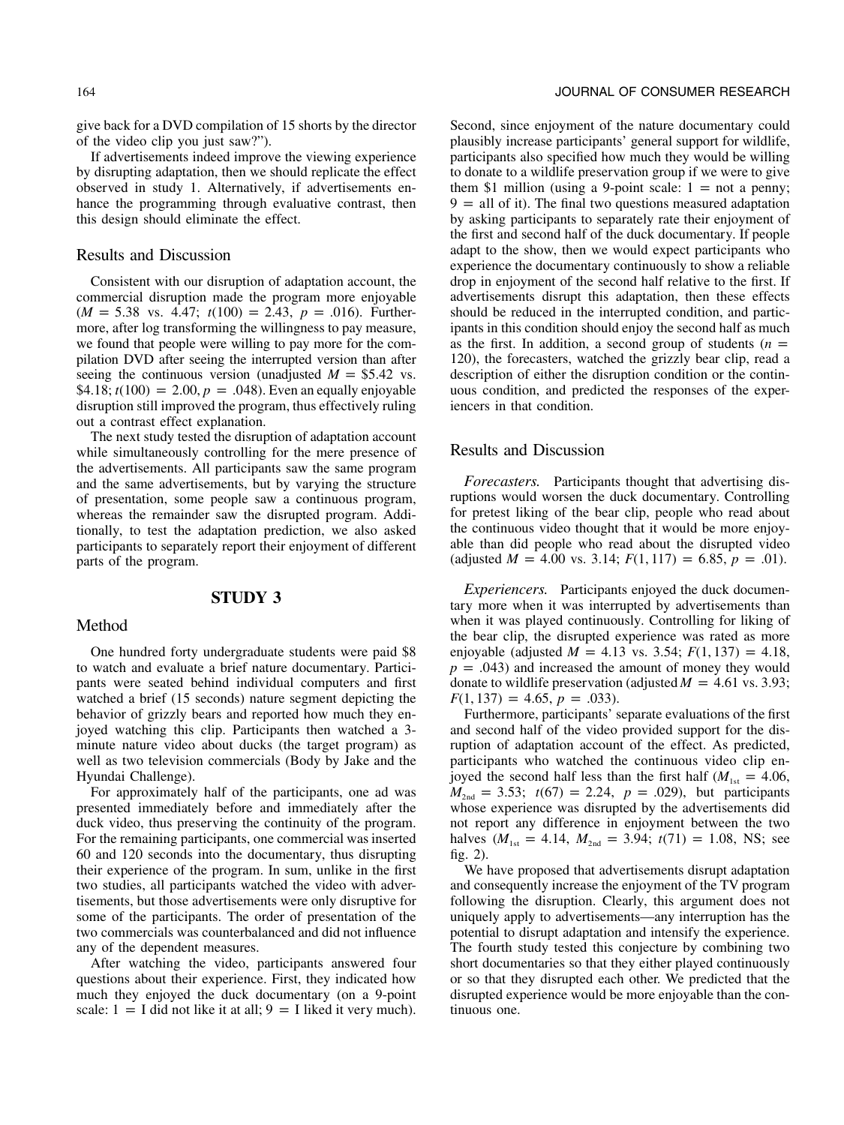give back for a DVD compilation of 15 shorts by the director of the video clip you just saw?").

If advertisements indeed improve the viewing experience by disrupting adaptation, then we should replicate the effect observed in study 1. Alternatively, if advertisements enhance the programming through evaluative contrast, then this design should eliminate the effect.

## Results and Discussion

Consistent with our disruption of adaptation account, the commercial disruption made the program more enjoyable  $(M = 5.38$  vs. 4.47;  $t(100) = 2.43$ ,  $p = .016$ ). Furthermore, after log transforming the willingness to pay measure, we found that people were willing to pay more for the compilation DVD after seeing the interrupted version than after seeing the continuous version (unadjusted  $M = $5.42$  vs. \$4.18;  $t(100) = 2.00, p = .048$ . Even an equally enjoyable disruption still improved the program, thus effectively ruling out a contrast effect explanation.

The next study tested the disruption of adaptation account while simultaneously controlling for the mere presence of the advertisements. All participants saw the same program and the same advertisements, but by varying the structure of presentation, some people saw a continuous program, whereas the remainder saw the disrupted program. Additionally, to test the adaptation prediction, we also asked participants to separately report their enjoyment of different parts of the program.

#### **STUDY 3**

## Method

One hundred forty undergraduate students were paid \$8 to watch and evaluate a brief nature documentary. Participants were seated behind individual computers and first watched a brief (15 seconds) nature segment depicting the behavior of grizzly bears and reported how much they enjoyed watching this clip. Participants then watched a 3 minute nature video about ducks (the target program) as well as two television commercials (Body by Jake and the Hyundai Challenge).

For approximately half of the participants, one ad was presented immediately before and immediately after the duck video, thus preserving the continuity of the program. For the remaining participants, one commercial was inserted 60 and 120 seconds into the documentary, thus disrupting their experience of the program. In sum, unlike in the first two studies, all participants watched the video with advertisements, but those advertisements were only disruptive for some of the participants. The order of presentation of the two commercials was counterbalanced and did not influence any of the dependent measures.

After watching the video, participants answered four questions about their experience. First, they indicated how much they enjoyed the duck documentary (on a 9-point scale:  $1 = I$  did not like it at all;  $9 = I$  liked it very much).

Second, since enjoyment of the nature documentary could plausibly increase participants' general support for wildlife, participants also specified how much they would be willing to donate to a wildlife preservation group if we were to give them \$1 million (using a 9-point scale:  $1 = not a penny;$  $9 =$  all of it). The final two questions measured adaptation by asking participants to separately rate their enjoyment of the first and second half of the duck documentary. If people adapt to the show, then we would expect participants who experience the documentary continuously to show a reliable drop in enjoyment of the second half relative to the first. If advertisements disrupt this adaptation, then these effects should be reduced in the interrupted condition, and participants in this condition should enjoy the second half as much as the first. In addition, a second group of students  $(n =$ 120), the forecasters, watched the grizzly bear clip, read a description of either the disruption condition or the continuous condition, and predicted the responses of the experiencers in that condition.

# Results and Discussion

*Forecasters.* Participants thought that advertising disruptions would worsen the duck documentary. Controlling for pretest liking of the bear clip, people who read about the continuous video thought that it would be more enjoyable than did people who read about the disrupted video (adjusted  $M = 4.00$  vs. 3.14;  $F(1, 117) = 6.85, p = .01$ ).

*Experiencers.* Participants enjoyed the duck documentary more when it was interrupted by advertisements than when it was played continuously. Controlling for liking of the bear clip, the disrupted experience was rated as more enjoyable (adjusted  $M = 4.13$  vs. 3.54;  $F(1, 137) = 4.18$ ,  $p = .043$ ) and increased the amount of money they would donate to wildlife preservation (adjusted  $M = 4.61$  vs. 3.93;  $F(1, 137) = 4.65, p = .033$ .

Furthermore, participants' separate evaluations of the first and second half of the video provided support for the disruption of adaptation account of the effect. As predicted, participants who watched the continuous video clip enjoyed the second half less than the first half ( $M_{1st} = 4.06$ ,  $M_{\text{2nd}} = 3.53$ ;  $t(67) = 2.24$ ,  $p = .029$ ), but participants whose experience was disrupted by the advertisements did not report any difference in enjoyment between the two halves ( $M_{1st} = 4.14$ ,  $M_{2nd} = 3.94$ ;  $t(71) = 1.08$ , NS; see fig. 2).

We have proposed that advertisements disrupt adaptation and consequently increase the enjoyment of the TV program following the disruption. Clearly, this argument does not uniquely apply to advertisements—any interruption has the potential to disrupt adaptation and intensify the experience. The fourth study tested this conjecture by combining two short documentaries so that they either played continuously or so that they disrupted each other. We predicted that the disrupted experience would be more enjoyable than the continuous one.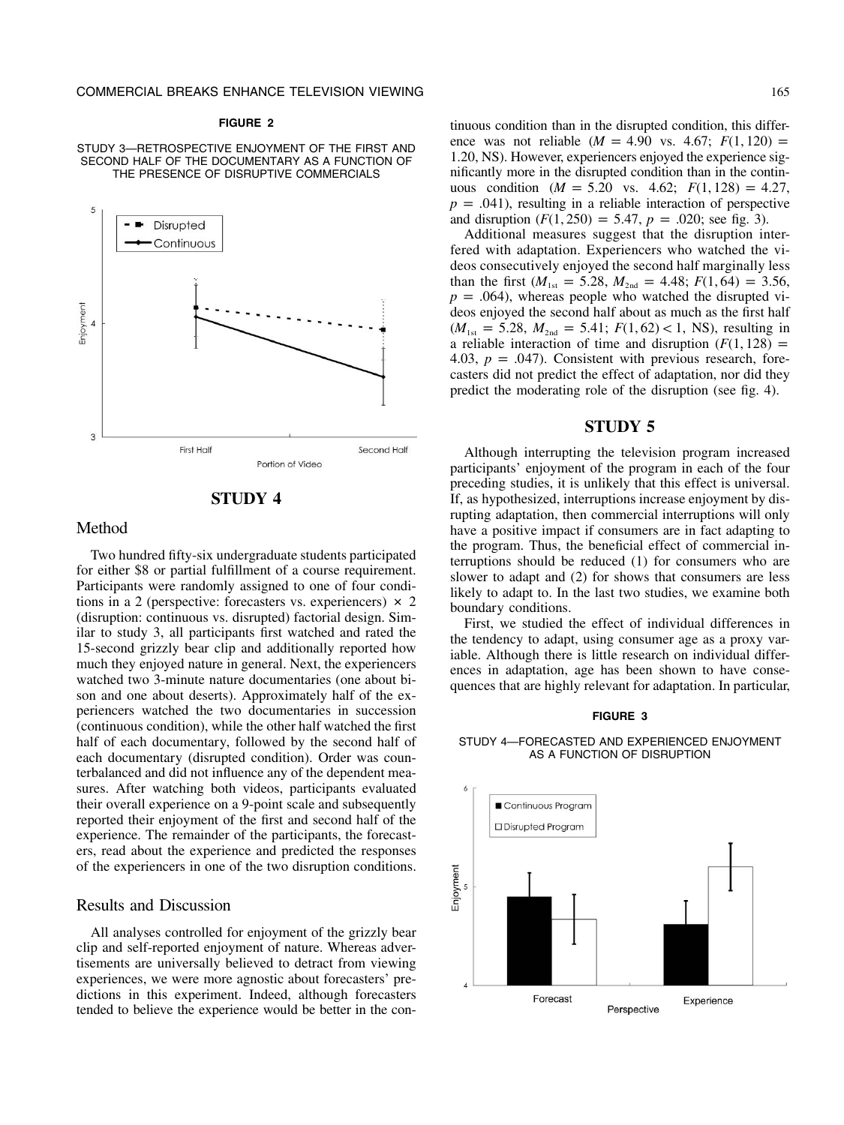STUDY 3—RETROSPECTIVE ENJOYMENT OF THE FIRST AND SECOND HALF OF THE DOCUMENTARY AS A FUNCTION OF THE PRESENCE OF DISRUPTIVE COMMERCIALS



# **STUDY 4**

#### Method

Two hundred fifty-six undergraduate students participated for either \$8 or partial fulfillment of a course requirement. Participants were randomly assigned to one of four conditions in a 2 (perspective: forecasters vs. experiencers)  $\times$  2 (disruption: continuous vs. disrupted) factorial design. Similar to study 3, all participants first watched and rated the 15-second grizzly bear clip and additionally reported how much they enjoyed nature in general. Next, the experiencers watched two 3-minute nature documentaries (one about bison and one about deserts). Approximately half of the experiencers watched the two documentaries in succession (continuous condition), while the other half watched the first half of each documentary, followed by the second half of each documentary (disrupted condition). Order was counterbalanced and did not influence any of the dependent measures. After watching both videos, participants evaluated their overall experience on a 9-point scale and subsequently reported their enjoyment of the first and second half of the experience. The remainder of the participants, the forecasters, read about the experience and predicted the responses of the experiencers in one of the two disruption conditions.

# Results and Discussion

All analyses controlled for enjoyment of the grizzly bear clip and self-reported enjoyment of nature. Whereas advertisements are universally believed to detract from viewing experiences, we were more agnostic about forecasters' predictions in this experiment. Indeed, although forecasters tended to believe the experience would be better in the continuous condition than in the disrupted condition, this difference was not reliable  $(M = 4.90 \text{ vs. } 4.67; F(1, 120) =$ 1.20, NS). However, experiencers enjoyed the experience significantly more in the disrupted condition than in the continuous condition ( $M = 5.20$  vs. 4.62;  $F(1, 128) = 4.27$ ,  $p = .041$ , resulting in a reliable interaction of perspective and disruption  $(F(1, 250) = 5.47, p = .020$ ; see fig. 3).

Additional measures suggest that the disruption interfered with adaptation. Experiencers who watched the videos consecutively enjoyed the second half marginally less than the first  $(M_{1st} = 5.28, M_{2nd} = 4.48; F(1, 64) = 3.56,$  $p = .064$ ), whereas people who watched the disrupted videos enjoyed the second half about as much as the first half  $(M_{1st} = 5.28, M_{2nd} = 5.41; F(1, 62) < 1, NS$ , resulting in a reliable interaction of time and disruption  $(F(1, 128))$  = 4.03,  $p = .047$ ). Consistent with previous research, forecasters did not predict the effect of adaptation, nor did they predict the moderating role of the disruption (see fig. 4).

## **STUDY 5**

Although interrupting the television program increased participants' enjoyment of the program in each of the four preceding studies, it is unlikely that this effect is universal. If, as hypothesized, interruptions increase enjoyment by disrupting adaptation, then commercial interruptions will only have a positive impact if consumers are in fact adapting to the program. Thus, the beneficial effect of commercial interruptions should be reduced (1) for consumers who are slower to adapt and (2) for shows that consumers are less likely to adapt to. In the last two studies, we examine both boundary conditions.

First, we studied the effect of individual differences in the tendency to adapt, using consumer age as a proxy variable. Although there is little research on individual differences in adaptation, age has been shown to have consequences that are highly relevant for adaptation. In particular,

#### **FIGURE 3**

#### STUDY 4—FORECASTED AND EXPERIENCED ENJOYMENT AS A FUNCTION OF DISRUPTION

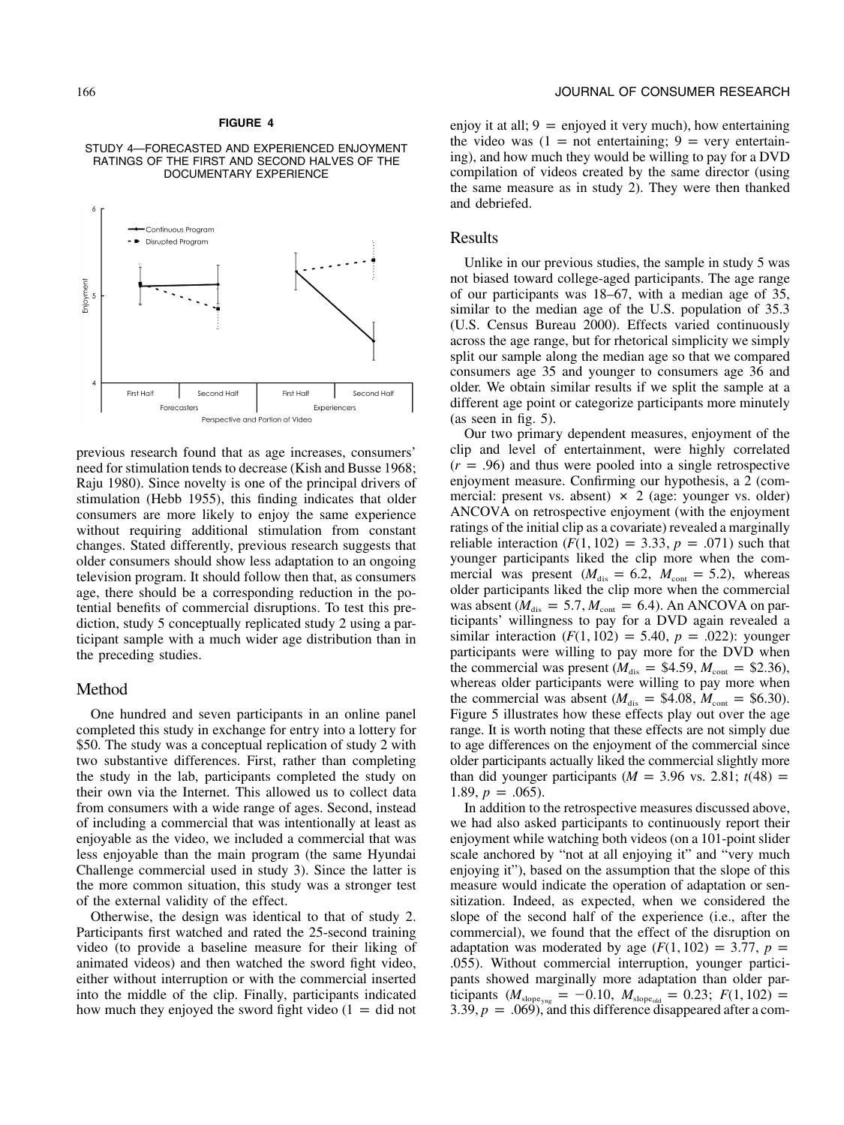STUDY 4—FORECASTED AND EXPERIENCED ENJOYMENT RATINGS OF THE FIRST AND SECOND HALVES OF THE DOCUMENTARY EXPERIENCE



previous research found that as age increases, consumers' need for stimulation tends to decrease (Kish and Busse 1968; Raju 1980). Since novelty is one of the principal drivers of stimulation (Hebb 1955), this finding indicates that older consumers are more likely to enjoy the same experience without requiring additional stimulation from constant changes. Stated differently, previous research suggests that older consumers should show less adaptation to an ongoing television program. It should follow then that, as consumers age, there should be a corresponding reduction in the potential benefits of commercial disruptions. To test this prediction, study 5 conceptually replicated study 2 using a participant sample with a much wider age distribution than in the preceding studies.

## Method

One hundred and seven participants in an online panel completed this study in exchange for entry into a lottery for \$50. The study was a conceptual replication of study 2 with two substantive differences. First, rather than completing the study in the lab, participants completed the study on their own via the Internet. This allowed us to collect data from consumers with a wide range of ages. Second, instead of including a commercial that was intentionally at least as enjoyable as the video, we included a commercial that was less enjoyable than the main program (the same Hyundai Challenge commercial used in study 3). Since the latter is the more common situation, this study was a stronger test of the external validity of the effect.

Otherwise, the design was identical to that of study 2. Participants first watched and rated the 25-second training video (to provide a baseline measure for their liking of animated videos) and then watched the sword fight video, either without interruption or with the commercial inserted into the middle of the clip. Finally, participants indicated how much they enjoyed the sword fight video  $(1 - did not$ 

enjoy it at all;  $9 =$  enjoyed it very much), how entertaining the video was  $(1 = not$  entertaining;  $9 =$  very entertaining), and how much they would be willing to pay for a DVD compilation of videos created by the same director (using the same measure as in study 2). They were then thanked and debriefed.

## Results

Unlike in our previous studies, the sample in study 5 was not biased toward college-aged participants. The age range of our participants was 18–67, with a median age of 35, similar to the median age of the U.S. population of 35.3 (U.S. Census Bureau 2000). Effects varied continuously across the age range, but for rhetorical simplicity we simply split our sample along the median age so that we compared consumers age 35 and younger to consumers age 36 and older. We obtain similar results if we split the sample at a different age point or categorize participants more minutely (as seen in fig. 5).

Our two primary dependent measures, enjoyment of the clip and level of entertainment, were highly correlated  $(r = .96)$  and thus were pooled into a single retrospective enjoyment measure. Confirming our hypothesis, a 2 (commercial: present vs. absent)  $\times$  2 (age: younger vs. older) ANCOVA on retrospective enjoyment (with the enjoyment ratings of the initial clip as a covariate) revealed a marginally reliable interaction  $(F(1, 102) = 3.33, p = .071)$  such that younger participants liked the clip more when the commercial was present ( $M_{\text{dis}} = 6.2$ ,  $M_{\text{cont}} = 5.2$ ), whereas older participants liked the clip more when the commercial was absent ( $M_{\text{dis}} = 5.7$ ,  $M_{\text{cont}} = 6.4$ ). An ANCOVA on participants' willingness to pay for a DVD again revealed a similar interaction  $(F(1, 102) = 5.40, p = .022)$ : younger participants were willing to pay more for the DVD when the commercial was present ( $M_{\text{dis}} = $4.59, M_{\text{cont}} = $2.36$ ), whereas older participants were willing to pay more when the commercial was absent ( $M_{\text{dis}} = $4.08, M_{\text{cont}} = $6.30$ ). Figure 5 illustrates how these effects play out over the age range. It is worth noting that these effects are not simply due to age differences on the enjoyment of the commercial since older participants actually liked the commercial slightly more than did younger participants ( $M = 3.96$  vs. 2.81;  $t(48) =$ 1.89,  $p = .065$ ).

In addition to the retrospective measures discussed above, we had also asked participants to continuously report their enjoyment while watching both videos (on a 101-point slider scale anchored by "not at all enjoying it" and "very much enjoying it"), based on the assumption that the slope of this measure would indicate the operation of adaptation or sensitization. Indeed, as expected, when we considered the slope of the second half of the experience (i.e., after the commercial), we found that the effect of the disruption on adaptation was moderated by age  $(F(1, 102) = 3.77, p =$ .055). Without commercial interruption, younger participants showed marginally more adaptation than older participants ( $M_{\text{slope}_{\text{yng}}} = -0.10, M_{\text{slope}_{\text{old}}} = 0.23; F(1, 102) =$ 3.39,  $p = .069$ , and this difference disappeared after a com-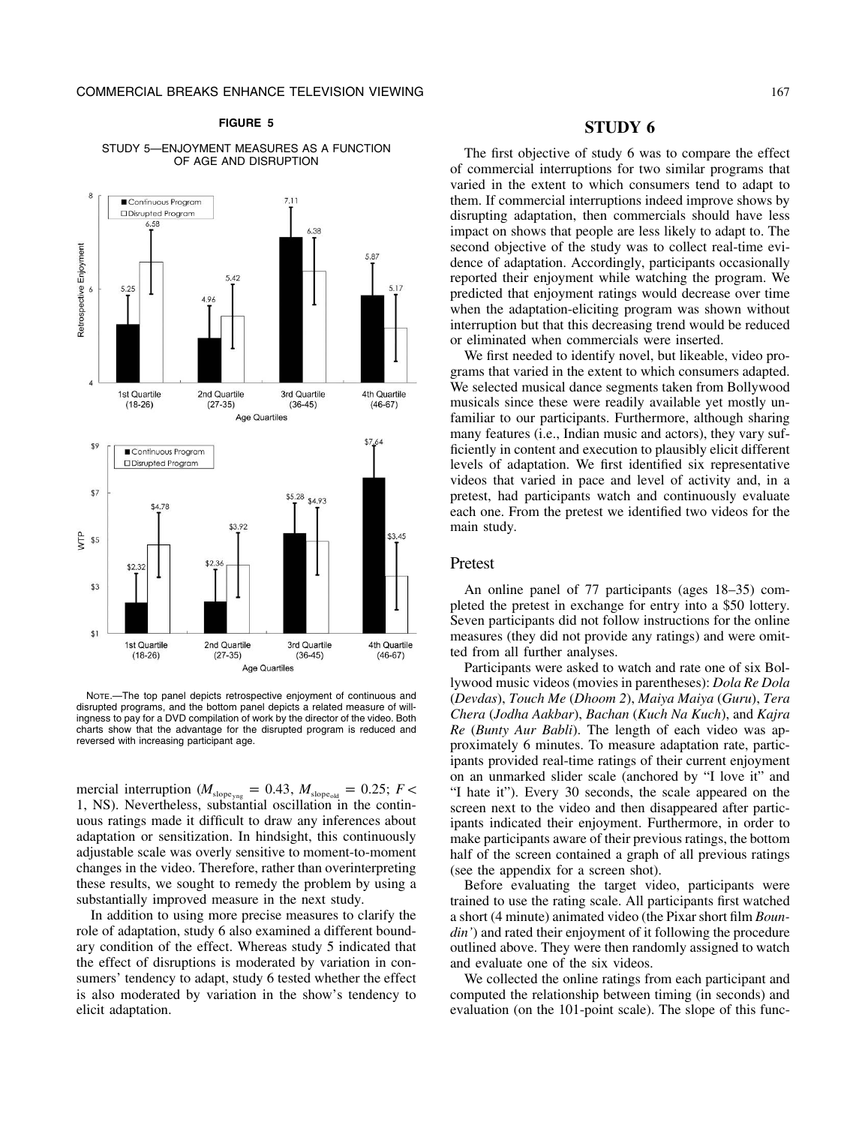

STUDY 5—ENJOYMENT MEASURES AS A FUNCTION OF AGE AND DISRUPTION

NOTE.—The top panel depicts retrospective enjoyment of continuous and disrupted programs, and the bottom panel depicts a related measure of willingness to pay for a DVD compilation of work by the director of the video. Both charts show that the advantage for the disrupted program is reduced and reversed with increasing participant age.

mercial interruption ( $M_{\text{slope}_{\text{vng}}} = 0.43$ ,  $M_{\text{slope}_{\text{old}}} = 0.25$ ;  $F <$ 1, NS). Nevertheless, substantial oscillation in the continuous ratings made it difficult to draw any inferences about adaptation or sensitization. In hindsight, this continuously adjustable scale was overly sensitive to moment-to-moment changes in the video. Therefore, rather than overinterpreting these results, we sought to remedy the problem by using a substantially improved measure in the next study.

In addition to using more precise measures to clarify the role of adaptation, study 6 also examined a different boundary condition of the effect. Whereas study 5 indicated that the effect of disruptions is moderated by variation in consumers' tendency to adapt, study 6 tested whether the effect is also moderated by variation in the show's tendency to elicit adaptation.

## **STUDY 6**

The first objective of study 6 was to compare the effect of commercial interruptions for two similar programs that varied in the extent to which consumers tend to adapt to them. If commercial interruptions indeed improve shows by disrupting adaptation, then commercials should have less impact on shows that people are less likely to adapt to. The second objective of the study was to collect real-time evidence of adaptation. Accordingly, participants occasionally reported their enjoyment while watching the program. We predicted that enjoyment ratings would decrease over time when the adaptation-eliciting program was shown without interruption but that this decreasing trend would be reduced or eliminated when commercials were inserted.

We first needed to identify novel, but likeable, video programs that varied in the extent to which consumers adapted. We selected musical dance segments taken from Bollywood musicals since these were readily available yet mostly unfamiliar to our participants. Furthermore, although sharing many features (i.e., Indian music and actors), they vary sufficiently in content and execution to plausibly elicit different levels of adaptation. We first identified six representative videos that varied in pace and level of activity and, in a pretest, had participants watch and continuously evaluate each one. From the pretest we identified two videos for the main study.

## Pretest

An online panel of 77 participants (ages 18–35) completed the pretest in exchange for entry into a \$50 lottery. Seven participants did not follow instructions for the online measures (they did not provide any ratings) and were omitted from all further analyses.

Participants were asked to watch and rate one of six Bollywood music videos (movies in parentheses): *Dola Re Dola* (*Devdas*), *Touch Me* (*Dhoom 2*), *Maiya Maiya* (*Guru*), *Tera Chera* (*Jodha Aakbar*), *Bachan* (*Kuch Na Kuch*), and *Kajra Re* (*Bunty Aur Babli*). The length of each video was approximately 6 minutes. To measure adaptation rate, participants provided real-time ratings of their current enjoyment on an unmarked slider scale (anchored by "I love it" and "I hate it"). Every 30 seconds, the scale appeared on the screen next to the video and then disappeared after participants indicated their enjoyment. Furthermore, in order to make participants aware of their previous ratings, the bottom half of the screen contained a graph of all previous ratings (see the appendix for a screen shot).

Before evaluating the target video, participants were trained to use the rating scale. All participants first watched a short (4 minute) animated video (the Pixar short film *Boundin'*) and rated their enjoyment of it following the procedure outlined above. They were then randomly assigned to watch and evaluate one of the six videos.

We collected the online ratings from each participant and computed the relationship between timing (in seconds) and evaluation (on the 101-point scale). The slope of this func-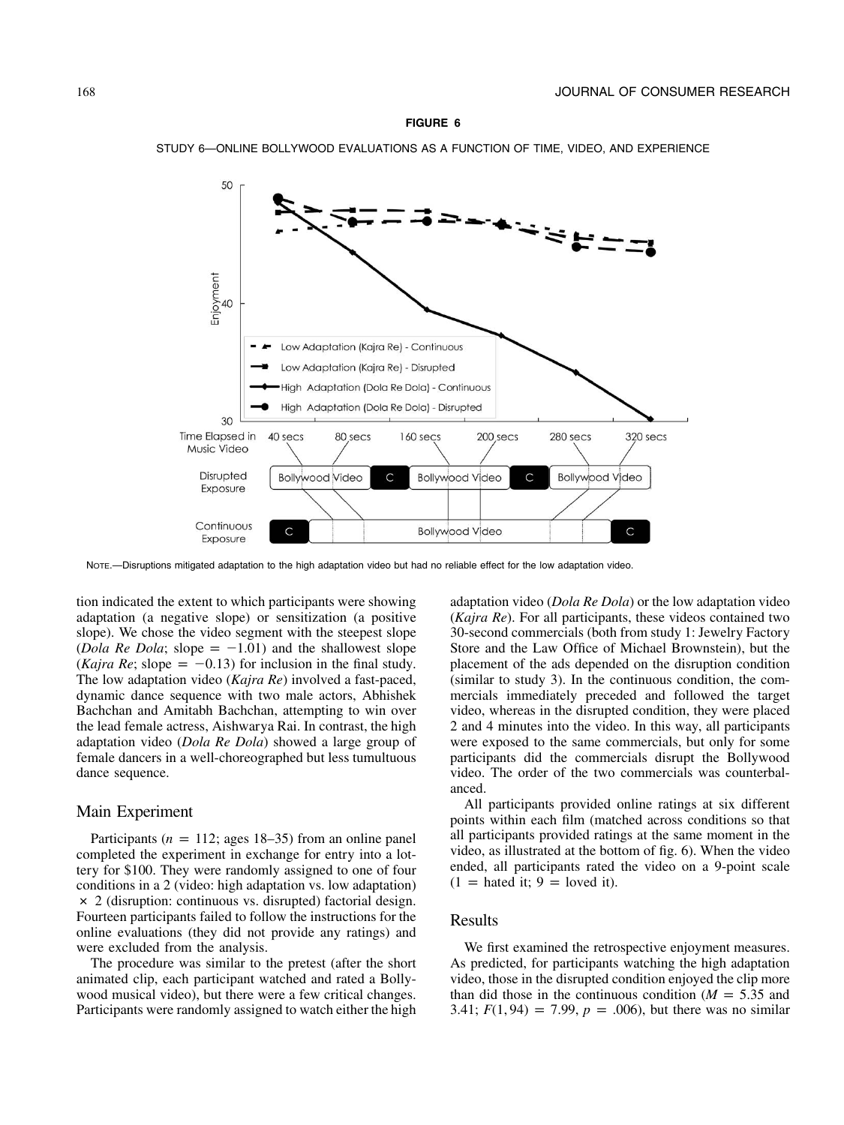STUDY 6—ONLINE BOLLYWOOD EVALUATIONS AS A FUNCTION OF TIME, VIDEO, AND EXPERIENCE



NOTE.—Disruptions mitigated adaptation to the high adaptation video but had no reliable effect for the low adaptation video.

tion indicated the extent to which participants were showing adaptation (a negative slope) or sensitization (a positive slope). We chose the video segment with the steepest slope (*Dola Re Dola*; slope  $= -1.01$ ) and the shallowest slope (*Kajra Re*; slope =  $-0.13$ ) for inclusion in the final study. The low adaptation video (*Kajra Re*) involved a fast-paced, dynamic dance sequence with two male actors, Abhishek Bachchan and Amitabh Bachchan, attempting to win over the lead female actress, Aishwarya Rai. In contrast, the high adaptation video (*Dola Re Dola*) showed a large group of female dancers in a well-choreographed but less tumultuous dance sequence.

## Main Experiment

Participants ( $n = 112$ ; ages 18–35) from an online panel completed the experiment in exchange for entry into a lottery for \$100. They were randomly assigned to one of four conditions in a 2 (video: high adaptation vs. low adaptation)  $\times$  2 (disruption: continuous vs. disrupted) factorial design. Fourteen participants failed to follow the instructions for the online evaluations (they did not provide any ratings) and were excluded from the analysis.

The procedure was similar to the pretest (after the short animated clip, each participant watched and rated a Bollywood musical video), but there were a few critical changes. Participants were randomly assigned to watch either the high adaptation video (*Dola Re Dola*) or the low adaptation video (*Kajra Re*). For all participants, these videos contained two 30-second commercials (both from study 1: Jewelry Factory Store and the Law Office of Michael Brownstein), but the placement of the ads depended on the disruption condition (similar to study 3). In the continuous condition, the commercials immediately preceded and followed the target video, whereas in the disrupted condition, they were placed 2 and 4 minutes into the video. In this way, all participants were exposed to the same commercials, but only for some participants did the commercials disrupt the Bollywood video. The order of the two commercials was counterbalanced.

All participants provided online ratings at six different points within each film (matched across conditions so that all participants provided ratings at the same moment in the video, as illustrated at the bottom of fig. 6). When the video ended, all participants rated the video on a 9-point scale  $(1 = \text{hated it}; 9 = \text{loved it}).$ 

## **Results**

We first examined the retrospective enjoyment measures. As predicted, for participants watching the high adaptation video, those in the disrupted condition enjoyed the clip more than did those in the continuous condition  $(M = 5.35$  and 3.41;  $F(1, 94) = 7.99$ ,  $p = .006$ ), but there was no similar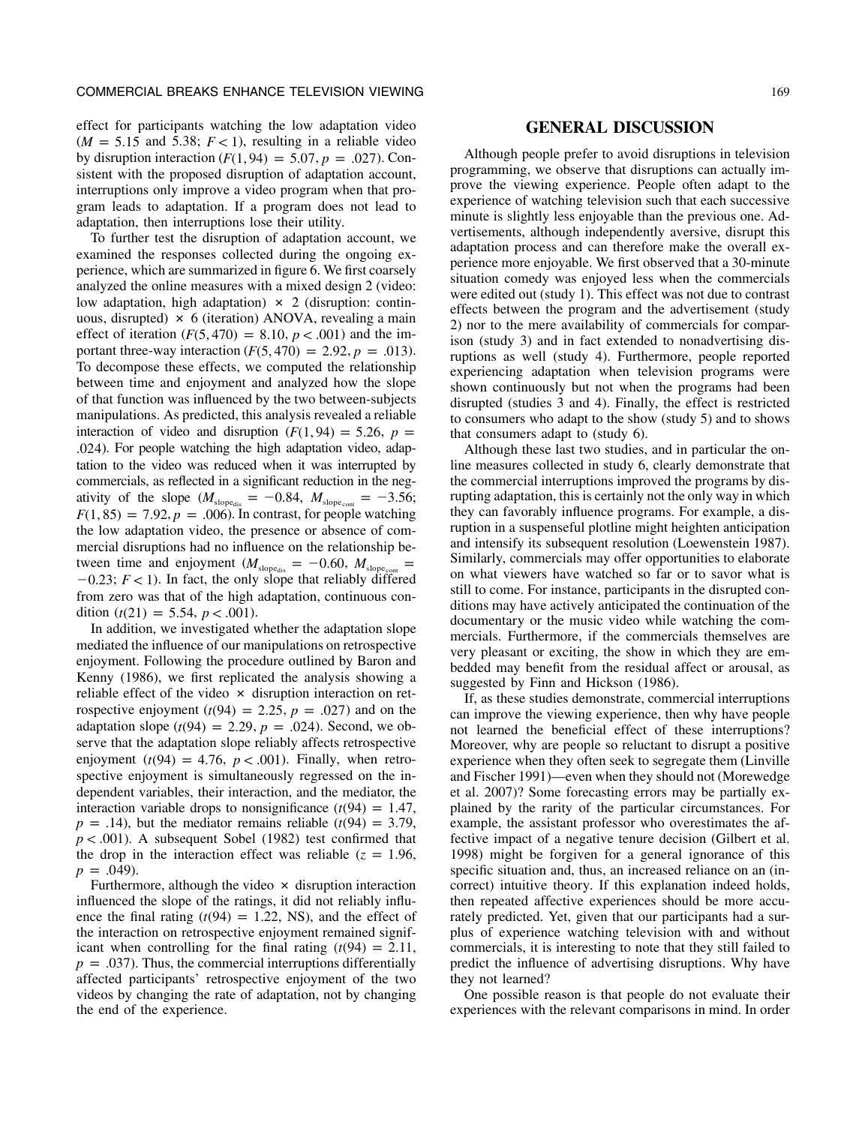effect for participants watching the low adaptation video  $(M = 5.15$  and 5.38;  $F < 1$ , resulting in a reliable video by disruption interaction  $(F(1, 94) = 5.07, p = .027)$ . Consistent with the proposed disruption of adaptation account, interruptions only improve a video program when that program leads to adaptation. If a program does not lead to adaptation, then interruptions lose their utility.

To further test the disruption of adaptation account, we examined the responses collected during the ongoing experience, which are summarized in figure 6. We first coarsely analyzed the online measures with a mixed design 2 (video: low adaptation, high adaptation)  $\times$  2 (disruption: continuous, disrupted)  $\times$  6 (iteration) ANOVA, revealing a main effect of iteration  $(F(5, 470) = 8.10, p < .001)$  and the important three-way interaction  $(F(5, 470) = 2.92, p = .013)$ . To decompose these effects, we computed the relationship between time and enjoyment and analyzed how the slope of that function was influenced by the two between-subjects manipulations. As predicted, this analysis revealed a reliable interaction of video and disruption  $(F(1, 94) = 5.26, p =$ .024). For people watching the high adaptation video, adaptation to the video was reduced when it was interrupted by commercials, as reflected in a significant reduction in the negativity of the slope ( $M_{\text{slope}_{\text{dis}}} = -0.84$ ,  $M_{\text{slope}_{\text{cont}}} = -3.56$ ;  $F(1, 85) = 7.92, p = .006$ . In contrast, for people watching the low adaptation video, the presence or absence of commercial disruptions had no influence on the relationship between time and enjoyment ( $M_{\text{slope}_{\text{dis}}} = -0.60, M_{\text{slope}_{\text{cont}}} =$  $-0.23$ ;  $F < 1$ ). In fact, the only slope that reliably differed from zero was that of the high adaptation, continuous condition  $(t(21) = 5.54, p < .001)$ .

In addition, we investigated whether the adaptation slope mediated the influence of our manipulations on retrospective enjoyment. Following the procedure outlined by Baron and Kenny (1986), we first replicated the analysis showing a reliable effect of the video  $\times$  disruption interaction on retrospective enjoyment  $(t(94) = 2.25, p = .027)$  and on the adaptation slope  $(t(94) = 2.29, p = .024)$ . Second, we observe that the adaptation slope reliably affects retrospective enjoyment ( $t(94) = 4.76$ ,  $p < .001$ ). Finally, when retrospective enjoyment is simultaneously regressed on the independent variables, their interaction, and the mediator, the interaction variable drops to nonsignificance  $(t(94) = 1.47$ ,  $p = .14$ ), but the mediator remains reliable ( $t(94) = 3.79$ ,  $p < .001$ ). A subsequent Sobel (1982) test confirmed that the drop in the interaction effect was reliable  $(z = 1.96$ ,  $p = .049$ .

Furthermore, although the video  $\times$  disruption interaction influenced the slope of the ratings, it did not reliably influence the final rating  $(t(94) = 1.22, NS)$ , and the effect of the interaction on retrospective enjoyment remained significant when controlling for the final rating  $(t(94) = 2.11$ ,  $p = .037$ ). Thus, the commercial interruptions differentially affected participants' retrospective enjoyment of the two videos by changing the rate of adaptation, not by changing the end of the experience.

#### **GENERAL DISCUSSION**

Although people prefer to avoid disruptions in television programming, we observe that disruptions can actually improve the viewing experience. People often adapt to the experience of watching television such that each successive minute is slightly less enjoyable than the previous one. Advertisements, although independently aversive, disrupt this adaptation process and can therefore make the overall experience more enjoyable. We first observed that a 30-minute situation comedy was enjoyed less when the commercials were edited out (study 1). This effect was not due to contrast effects between the program and the advertisement (study 2) nor to the mere availability of commercials for comparison (study 3) and in fact extended to nonadvertising disruptions as well (study 4). Furthermore, people reported experiencing adaptation when television programs were shown continuously but not when the programs had been disrupted (studies 3 and 4). Finally, the effect is restricted to consumers who adapt to the show (study 5) and to shows that consumers adapt to (study 6).

Although these last two studies, and in particular the online measures collected in study 6, clearly demonstrate that the commercial interruptions improved the programs by disrupting adaptation, this is certainly not the only way in which they can favorably influence programs. For example, a disruption in a suspenseful plotline might heighten anticipation and intensify its subsequent resolution (Loewenstein 1987). Similarly, commercials may offer opportunities to elaborate on what viewers have watched so far or to savor what is still to come. For instance, participants in the disrupted conditions may have actively anticipated the continuation of the documentary or the music video while watching the commercials. Furthermore, if the commercials themselves are very pleasant or exciting, the show in which they are embedded may benefit from the residual affect or arousal, as suggested by Finn and Hickson (1986).

If, as these studies demonstrate, commercial interruptions can improve the viewing experience, then why have people not learned the beneficial effect of these interruptions? Moreover, why are people so reluctant to disrupt a positive experience when they often seek to segregate them (Linville and Fischer 1991)—even when they should not (Morewedge et al. 2007)? Some forecasting errors may be partially explained by the rarity of the particular circumstances. For example, the assistant professor who overestimates the affective impact of a negative tenure decision (Gilbert et al. 1998) might be forgiven for a general ignorance of this specific situation and, thus, an increased reliance on an (incorrect) intuitive theory. If this explanation indeed holds, then repeated affective experiences should be more accurately predicted. Yet, given that our participants had a surplus of experience watching television with and without commercials, it is interesting to note that they still failed to predict the influence of advertising disruptions. Why have they not learned?

One possible reason is that people do not evaluate their experiences with the relevant comparisons in mind. In order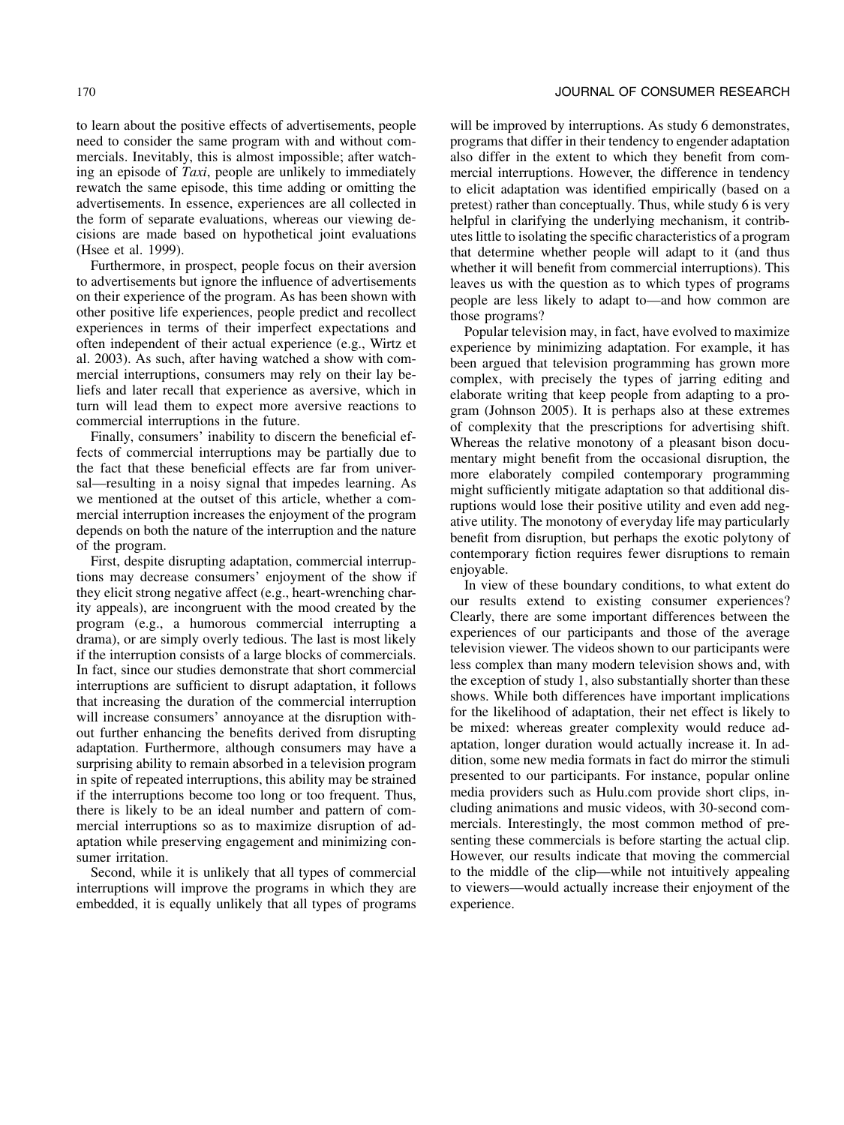to learn about the positive effects of advertisements, people need to consider the same program with and without commercials. Inevitably, this is almost impossible; after watching an episode of *Taxi*, people are unlikely to immediately rewatch the same episode, this time adding or omitting the advertisements. In essence, experiences are all collected in the form of separate evaluations, whereas our viewing decisions are made based on hypothetical joint evaluations (Hsee et al. 1999).

Furthermore, in prospect, people focus on their aversion to advertisements but ignore the influence of advertisements on their experience of the program. As has been shown with other positive life experiences, people predict and recollect experiences in terms of their imperfect expectations and often independent of their actual experience (e.g., Wirtz et al. 2003). As such, after having watched a show with commercial interruptions, consumers may rely on their lay beliefs and later recall that experience as aversive, which in turn will lead them to expect more aversive reactions to commercial interruptions in the future.

Finally, consumers' inability to discern the beneficial effects of commercial interruptions may be partially due to the fact that these beneficial effects are far from universal—resulting in a noisy signal that impedes learning. As we mentioned at the outset of this article, whether a commercial interruption increases the enjoyment of the program depends on both the nature of the interruption and the nature of the program.

First, despite disrupting adaptation, commercial interruptions may decrease consumers' enjoyment of the show if they elicit strong negative affect (e.g., heart-wrenching charity appeals), are incongruent with the mood created by the program (e.g., a humorous commercial interrupting a drama), or are simply overly tedious. The last is most likely if the interruption consists of a large blocks of commercials. In fact, since our studies demonstrate that short commercial interruptions are sufficient to disrupt adaptation, it follows that increasing the duration of the commercial interruption will increase consumers' annoyance at the disruption without further enhancing the benefits derived from disrupting adaptation. Furthermore, although consumers may have a surprising ability to remain absorbed in a television program in spite of repeated interruptions, this ability may be strained if the interruptions become too long or too frequent. Thus, there is likely to be an ideal number and pattern of commercial interruptions so as to maximize disruption of adaptation while preserving engagement and minimizing consumer irritation.

Second, while it is unlikely that all types of commercial interruptions will improve the programs in which they are embedded, it is equally unlikely that all types of programs will be improved by interruptions. As study 6 demonstrates, programs that differ in their tendency to engender adaptation also differ in the extent to which they benefit from commercial interruptions. However, the difference in tendency to elicit adaptation was identified empirically (based on a pretest) rather than conceptually. Thus, while study 6 is very helpful in clarifying the underlying mechanism, it contributes little to isolating the specific characteristics of a program that determine whether people will adapt to it (and thus whether it will benefit from commercial interruptions). This leaves us with the question as to which types of programs people are less likely to adapt to—and how common are those programs?

Popular television may, in fact, have evolved to maximize experience by minimizing adaptation. For example, it has been argued that television programming has grown more complex, with precisely the types of jarring editing and elaborate writing that keep people from adapting to a program (Johnson 2005). It is perhaps also at these extremes of complexity that the prescriptions for advertising shift. Whereas the relative monotony of a pleasant bison documentary might benefit from the occasional disruption, the more elaborately compiled contemporary programming might sufficiently mitigate adaptation so that additional disruptions would lose their positive utility and even add negative utility. The monotony of everyday life may particularly benefit from disruption, but perhaps the exotic polytony of contemporary fiction requires fewer disruptions to remain enjoyable.

In view of these boundary conditions, to what extent do our results extend to existing consumer experiences? Clearly, there are some important differences between the experiences of our participants and those of the average television viewer. The videos shown to our participants were less complex than many modern television shows and, with the exception of study 1, also substantially shorter than these shows. While both differences have important implications for the likelihood of adaptation, their net effect is likely to be mixed: whereas greater complexity would reduce adaptation, longer duration would actually increase it. In addition, some new media formats in fact do mirror the stimuli presented to our participants. For instance, popular online media providers such as Hulu.com provide short clips, including animations and music videos, with 30-second commercials. Interestingly, the most common method of presenting these commercials is before starting the actual clip. However, our results indicate that moving the commercial to the middle of the clip—while not intuitively appealing to viewers—would actually increase their enjoyment of the experience.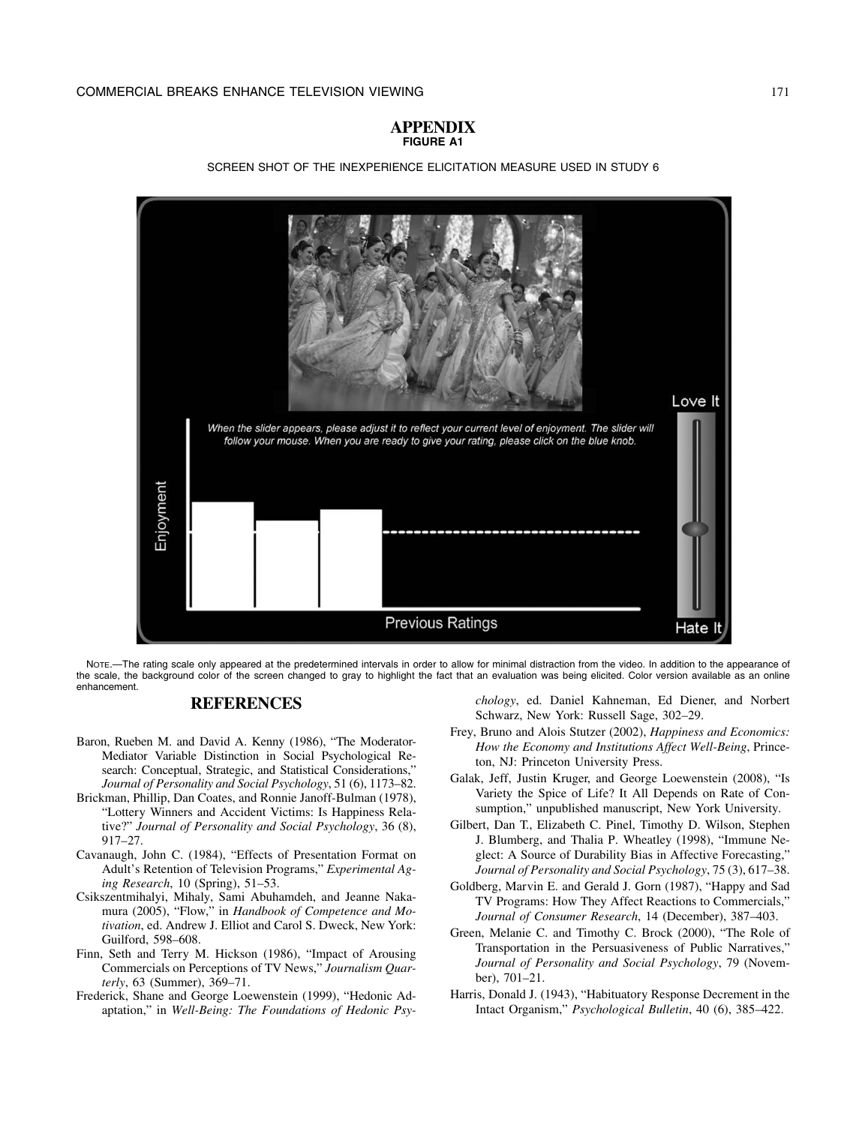#### **APPENDIX FIGURE A1**



#### SCREEN SHOT OF THE INEXPERIENCE ELICITATION MEASURE USED IN STUDY 6

NOTE.—The rating scale only appeared at the predetermined intervals in order to allow for minimal distraction from the video. In addition to the appearance of the scale, the background color of the screen changed to gray to highlight the fact that an evaluation was being elicited. Color version available as an online enhancement.

## **REFERENCES**

- Baron, Rueben M. and David A. Kenny (1986), "The Moderator-Mediator Variable Distinction in Social Psychological Research: Conceptual, Strategic, and Statistical Considerations," *Journal of Personality and Social Psychology*, 51 (6), 1173–82.
- Brickman, Phillip, Dan Coates, and Ronnie Janoff-Bulman (1978), "Lottery Winners and Accident Victims: Is Happiness Relative?" *Journal of Personality and Social Psychology*, 36 (8), 917–27.
- Cavanaugh, John C. (1984), "Effects of Presentation Format on Adult's Retention of Television Programs," *Experimental Aging Research*, 10 (Spring), 51–53.
- Csikszentmihalyi, Mihaly, Sami Abuhamdeh, and Jeanne Nakamura (2005), "Flow," in *Handbook of Competence and Motivation*, ed. Andrew J. Elliot and Carol S. Dweck, New York: Guilford, 598–608.
- Finn, Seth and Terry M. Hickson (1986), "Impact of Arousing Commercials on Perceptions of TV News," *Journalism Quarterly*, 63 (Summer), 369–71.
- Frederick, Shane and George Loewenstein (1999), "Hedonic Adaptation," in *Well-Being: The Foundations of Hedonic Psy-*

*chology*, ed. Daniel Kahneman, Ed Diener, and Norbert Schwarz, New York: Russell Sage, 302–29.

- Frey, Bruno and Alois Stutzer (2002), *Happiness and Economics: How the Economy and Institutions Affect Well-Being*, Princeton, NJ: Princeton University Press.
- Galak, Jeff, Justin Kruger, and George Loewenstein (2008), "Is Variety the Spice of Life? It All Depends on Rate of Consumption," unpublished manuscript, New York University.
- Gilbert, Dan T., Elizabeth C. Pinel, Timothy D. Wilson, Stephen J. Blumberg, and Thalia P. Wheatley (1998), "Immune Neglect: A Source of Durability Bias in Affective Forecasting," *Journal of Personality and Social Psychology*, 75 (3), 617–38.
- Goldberg, Marvin E. and Gerald J. Gorn (1987), "Happy and Sad TV Programs: How They Affect Reactions to Commercials," *Journal of Consumer Research*, 14 (December), 387–403.
- Green, Melanie C. and Timothy C. Brock (2000), "The Role of Transportation in the Persuasiveness of Public Narratives," *Journal of Personality and Social Psychology*, 79 (November), 701–21.
- Harris, Donald J. (1943), "Habituatory Response Decrement in the Intact Organism," *Psychological Bulletin*, 40 (6), 385–422.